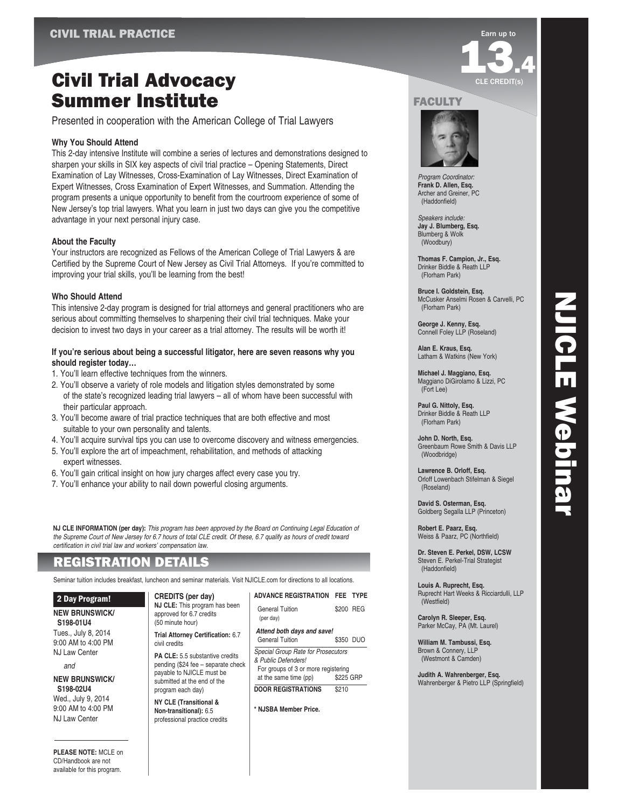## Civil Trial Advocacy Summer Institute

Presented in cooperation with the American College of Trial Lawyers

#### **Why You Should Attend**

This 2-day intensive Institute will combine a series of lectures and demonstrations designed to sharpen your skills in SIX key aspects of civil trial practice – Opening Statements, Direct Examination of Lay Witnesses, Cross-Examination of Lay Witnesses, Direct Examination of Expert Witnesses, Cross Examination of Expert Witnesses, and Summation. Attending the program presents a unique opportunity to benefit from the courtroom experience of some of New Jersey's top trial lawyers. What you learn in just two days can give you the competitive advantage in your next personal injury case.

#### **About the Faculty**

Your instructors are recognized as Fellows of the American College of Trial Lawyers & are Certified by the Supreme Court of New Jersey as Civil Trial Attorneys. If you're committed to improving your trial skills, you'll be learning from the best!

#### **Who Should Attend**

This intensive 2-day program is designed for trial attorneys and general practitioners who are serious about committing themselves to sharpening their civil trial techniques. Make your decision to invest two days in your career as a trial attorney. The results will be worth it!

#### **If you're serious about being a successful litigator, here are seven reasons why you should register today…**

- 1. You'll learn effective techniques from the winners.
- 2. You'll observe a variety of role models and litigation styles demonstrated by some of the state's recognized leading trial lawyers – all of whom have been successful with their particular approach.
- 3. You'll become aware of trial practice techniques that are both effective and most suitable to your own personality and talents.
- 4. You'll acquire survival tips you can use to overcome discovery and witness emergencies.
- 5. You'll explore the art of impeachment, rehabilitation, and methods of attacking expert witnesses.
- 6. You'll gain critical insight on how jury charges affect every case you try.
- 7. You'll enhance your ability to nail down powerful closing arguments.

**NJ CLE INFORMATION (per day):** This program has been approved by the Board on Continuing Legal Education of the Supreme Court of New Jersey for 6.7 hours of total CLE credit. Of these, 6.7 qualify as hours of credit toward certification in civil trial law and workers' compensation law.

### REGISTRATION DETAILS

Seminar tuition includes breakfast, luncheon and seminar materials. Visit NJICLE.com for directions to all locations.

#### 2 Day Program!

**NEW BRUNSWICK/ S198-01U4** Tues., July 8, 2014

9:00 AM to 4:00 PM NJ Law Center

and

**NEW BRUNSWICK/ S198-02U4** Wed., July 9, 2014 9:00 AM to 4:00 PM NJ Law Center

**CREDITS (per day) NJ CLE:** This program has been approved for 6.7 credits

(50 minute hour) **Trial Attorney Certification:** 6.7

civil credits

**PA CLE:** 5.5 substantive credits pending (\$24 fee – separate check payable to NJICLE must be submitted at the end of the program each day)

**NY CLE (Transitional & Non-transitional):** 6.5 professional practice credits

|                            | AUVANUE NEUISTNATIUN                | FEE.      |  |
|----------------------------|-------------------------------------|-----------|--|
|                            | <b>General Tuition</b><br>(per day) | \$200 REG |  |
| Attend both days and save! |                                     |           |  |
|                            | General Tuition                     | \$350 DUO |  |
|                            | Special Group Rate for Prosecutors  |           |  |
|                            | & Public Defenders!                 |           |  |
|                            | For groups of 3 or more registering |           |  |
|                            | at the same time (pp)<br>\$225 GRP  |           |  |

**ADVANCE REGISTRATION FEE TYPE**

|                                    | 3225 GRP |  |
|------------------------------------|----------|--|
| <b>DOOR REGISTRATIONS</b><br>\$210 |          |  |

**\* NJSBA Member Price.**

# **13.4** CLE CREDIT(s)

#### **FACULTY**



Program Coordinator: **Frank D. Allen, Esq.** Archer and Greiner, PC (Haddonfield)

Speakers include: **Jay J. Blumberg, Esq.** Blumberg & Wolk (Woodbury)

**Thomas F. Campion, Jr., Esq.** Drinker Biddle & Reath LLP (Florham Park)

**Bruce I. Goldstein, Esq.** McCusker Anselmi Rosen & Carvelli, PC (Florham Park)

**George J. Kenny, Esq.** Connell Foley LLP (Roseland)

**Alan E. Kraus, Esq.** Latham & Watkins (New York)

**Michael J. Maggiano, Esq.** Maggiano DiGirolamo & Lizzi, PC (Fort Lee)

**Paul G. Nittoly, Esq.** Drinker Biddle & Reath LLP (Florham Park)

**John D. North, Esq.** Greenbaum Rowe Smith & Davis LLP (Woodbridge)

NJICLE Webinar

NJICLE Webinar

**Lawrence B. Orloff, Esq.** Orloff Lowenbach Stifelman & Siegel (Roseland)

**David S. Osterman, Esq.** Goldberg Segalla LLP (Princeton)

**Robert E. Paarz, Esq.** Weiss & Paarz, PC (Northfield)

**Dr. Steven E. Perkel, DSW, LCSW** Steven E. Perkel-Trial Strategist (Haddonfield)

**Louis A. Ruprecht, Esq.** Ruprecht Hart Weeks & Ricciardulli, LLP (Westfield)

**Carolyn R. Sleeper, Esq.** Parker McCay, PA (Mt. Laurel)

**William M. Tambussi, Esq.** Brown & Connery, LLP (Westmont & Camden)

**Judith A. Wahrenberger, Esq.** Wahrenberger & Pietro LLP (Springfield)

**PLEASE NOTE:** MCLE on CD/Handbook are not available for this program.